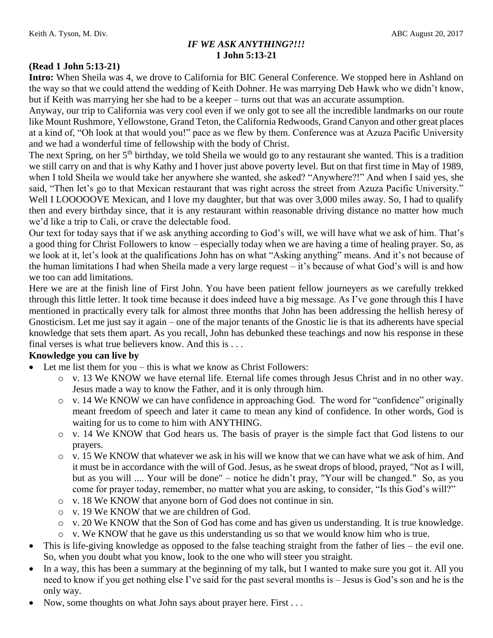## *IF WE ASK ANYTHING?!!!* **1 John 5:13-21**

#### **(Read 1 John 5:13-21)**

**Intro:** When Sheila was 4, we drove to California for BIC General Conference. We stopped here in Ashland on the way so that we could attend the wedding of Keith Dohner. He was marrying Deb Hawk who we didn't know, but if Keith was marrying her she had to be a keeper – turns out that was an accurate assumption.

Anyway, our trip to California was very cool even if we only got to see all the incredible landmarks on our route like Mount Rushmore, Yellowstone, Grand Teton, the California Redwoods, Grand Canyon and other great places at a kind of, "Oh look at that would you!" pace as we flew by them. Conference was at Azuza Pacific University and we had a wonderful time of fellowship with the body of Christ.

The next Spring, on her 5<sup>th</sup> birthday, we told Sheila we would go to any restaurant she wanted. This is a tradition we still carry on and that is why Kathy and I hover just above poverty level. But on that first time in May of 1989, when I told Sheila we would take her anywhere she wanted, she asked? "Anywhere?!" And when I said yes, she said, "Then let's go to that Mexican restaurant that was right across the street from Azuza Pacific University." Well I LOOOOOVE Mexican, and I love my daughter, but that was over 3,000 miles away. So, I had to qualify then and every birthday since, that it is any restaurant within reasonable driving distance no matter how much we'd like a trip to Cali, or crave the delectable food.

Our text for today says that if we ask anything according to God's will, we will have what we ask of him. That's a good thing for Christ Followers to know – especially today when we are having a time of healing prayer. So, as we look at it, let's look at the qualifications John has on what "Asking anything" means. And it's not because of the human limitations I had when Sheila made a very large request – it's because of what God's will is and how we too can add limitations.

Here we are at the finish line of First John. You have been patient fellow journeyers as we carefully trekked through this little letter. It took time because it does indeed have a big message. As I've gone through this I have mentioned in practically every talk for almost three months that John has been addressing the hellish heresy of Gnosticism. Let me just say it again – one of the major tenants of the Gnostic lie is that its adherents have special knowledge that sets them apart. As you recall, John has debunked these teachings and now his response in these final verses is what true believers know. And this is . . .

### **Knowledge you can live by**

- Let me list them for you this is what we know as Christ Followers:
	- o v. 13 We KNOW we have eternal life. Eternal life comes through Jesus Christ and in no other way. Jesus made a way to know the Father, and it is only through him.
	- o v. 14 We KNOW we can have confidence in approaching God. The word for "confidence" originally meant freedom of speech and later it came to mean any kind of confidence. In other words, God is waiting for us to come to him with ANYTHING.
	- o v. 14 We KNOW that God hears us. The basis of prayer is the simple fact that God listens to our prayers.
	- $\circ$  v. 15 We KNOW that whatever we ask in his will we know that we can have what we ask of him. And it must be in accordance with the will of God. Jesus, as he sweat drops of blood, prayed, "Not as I will, but as you will .... Your will be done" – notice he didn't pray, "Your will be changed." So, as you come for prayer today, remember, no matter what you are asking, to consider, "Is this God's will?"
	- o v. 18 We KNOW that anyone born of God does not continue in sin.
	- o v. 19 We KNOW that we are children of God.
	- o v. 20 We KNOW that the Son of God has come and has given us understanding. It is true knowledge.
	- o v. We KNOW that he gave us this understanding us so that we would know him who is true.
- This is life-giving knowledge as opposed to the false teaching straight from the father of lies the evil one. So, when you doubt what you know, look to the one who will steer you straight.
- In a way, this has been a summary at the beginning of my talk, but I wanted to make sure you got it. All you need to know if you get nothing else I've said for the past several months is – Jesus is God's son and he is the only way.
- Now, some thoughts on what John says about prayer here. First . . .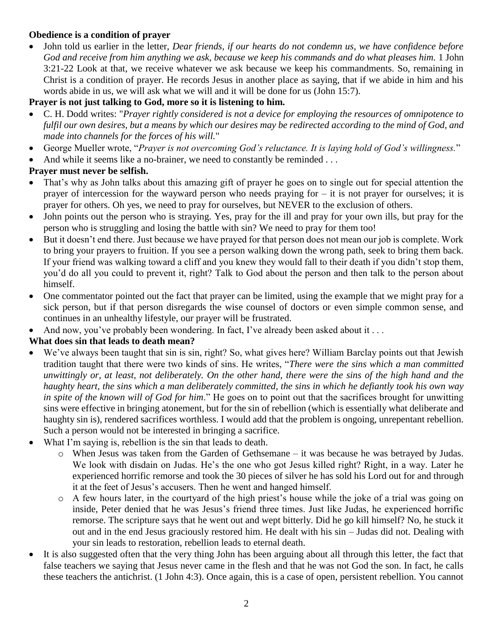### **Obedience is a condition of prayer**

 John told us earlier in the letter, *Dear friends, if our hearts do not condemn us, we have confidence before God and receive from him anything we ask, because we keep his commands and do what pleases him.* 1 John 3:21-22 Look at that, we receive whatever we ask because we keep his commandments. So, remaining in Christ is a condition of prayer. He records Jesus in another place as saying, that if we abide in him and his words abide in us, we will ask what we will and it will be done for us (John 15:7).

### **Prayer is not just talking to God, more so it is listening to him.**

- C. H. Dodd writes: "*Prayer rightly considered is not a device for employing the resources of omnipotence to fulfil our own desires, but a means by which our desires may be redirected according to the mind of God, and made into channels for the forces of his will.*"
- George Mueller wrote, "*Prayer is not overcoming God's reluctance. It is laying hold of God's willingness.*"
- And while it seems like a no-brainer, we need to constantly be reminded ...

## **Prayer must never be selfish.**

- That's why as John talks about this amazing gift of prayer he goes on to single out for special attention the prayer of intercession for the wayward person who needs praying for – it is not prayer for ourselves; it is prayer for others. Oh yes, we need to pray for ourselves, but NEVER to the exclusion of others.
- John points out the person who is straying. Yes, pray for the ill and pray for your own ills, but pray for the person who is struggling and losing the battle with sin? We need to pray for them too!
- But it doesn't end there. Just because we have prayed for that person does not mean our job is complete. Work to bring your prayers to fruition. If you see a person walking down the wrong path, seek to bring them back. If your friend was walking toward a cliff and you knew they would fall to their death if you didn't stop them, you'd do all you could to prevent it, right? Talk to God about the person and then talk to the person about himself.
- One commentator pointed out the fact that prayer can be limited, using the example that we might pray for a sick person, but if that person disregards the wise counsel of doctors or even simple common sense, and continues in an unhealthy lifestyle, our prayer will be frustrated.
- And now, you've probably been wondering. In fact, I've already been asked about it ...

## **What does sin that leads to death mean?**

- We've always been taught that sin is sin, right? So, what gives here? William Barclay points out that Jewish tradition taught that there were two kinds of sins. He writes, "*There were the sins which a man committed unwittingly or, at least, not deliberately. On the other hand, there were the sins of the high hand and the haughty heart, the sins which a man deliberately committed, the sins in which he defiantly took his own way in spite of the known will of God for him*." He goes on to point out that the sacrifices brought for unwitting sins were effective in bringing atonement, but for the sin of rebellion (which is essentially what deliberate and haughty sin is), rendered sacrifices worthless. I would add that the problem is ongoing, unrepentant rebellion. Such a person would not be interested in bringing a sacrifice.
- What I'm saying is, rebellion is the sin that leads to death.
	- o When Jesus was taken from the Garden of Gethsemane it was because he was betrayed by Judas. We look with disdain on Judas. He's the one who got Jesus killed right? Right, in a way. Later he experienced horrific remorse and took the 30 pieces of silver he has sold his Lord out for and through it at the feet of Jesus's accusers. Then he went and hanged himself.
	- o A few hours later, in the courtyard of the high priest's house while the joke of a trial was going on inside, Peter denied that he was Jesus's friend three times. Just like Judas, he experienced horrific remorse. The scripture says that he went out and wept bitterly. Did he go kill himself? No, he stuck it out and in the end Jesus graciously restored him. He dealt with his sin – Judas did not. Dealing with your sin leads to restoration, rebellion leads to eternal death.
- It is also suggested often that the very thing John has been arguing about all through this letter, the fact that false teachers we saying that Jesus never came in the flesh and that he was not God the son. In fact, he calls these teachers the antichrist. (1 John 4:3). Once again, this is a case of open, persistent rebellion. You cannot